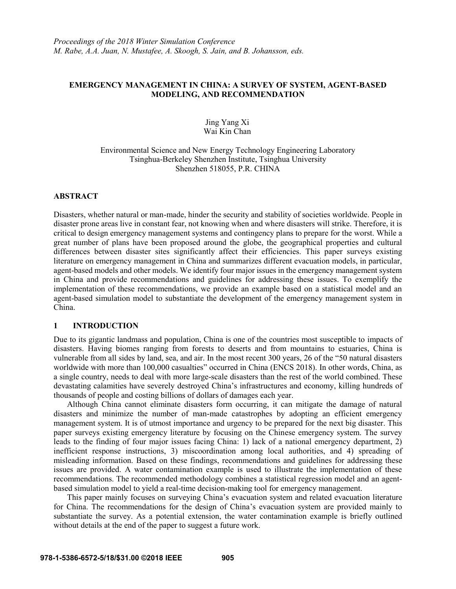### **EMERGENCY MANAGEMENT IN CHINA: A SURVEY OF SYSTEM, AGENT-BASED MODELING, AND RECOMMENDATION**

Jing Yang Xi Wai Kin Chan

### Environmental Science and New Energy Technology Engineering Laboratory Tsinghua-Berkeley Shenzhen Institute, Tsinghua University Shenzhen 518055, P.R. CHINA

### **ABSTRACT**

Disasters, whether natural or man-made, hinder the security and stability of societies worldwide. People in disaster prone areas live in constant fear, not knowing when and where disasters will strike. Therefore, it is critical to design emergency management systems and contingency plans to prepare for the worst. While a great number of plans have been proposed around the globe, the geographical properties and cultural differences between disaster sites significantly affect their efficiencies. This paper surveys existing literature on emergency management in China and summarizes different evacuation models, in particular, agent-based models and other models. We identify four major issues in the emergency management system in China and provide recommendations and guidelines for addressing these issues. To exemplify the implementation of these recommendations, we provide an example based on a statistical model and an agent-based simulation model to substantiate the development of the emergency management system in China.

### **1 INTRODUCTION**

Due to its gigantic landmass and population, China is one of the countries most susceptible to impacts of disasters. Having biomes ranging from forests to deserts and from mountains to estuaries, China is vulnerable from all sides by land, sea, and air. In the most recent 300 years, 26 of the "50 natural disasters worldwide with more than 100,000 casualties" occurred in China (ENCS 2018). In other words, China, as a single country, needs to deal with more large-scale disasters than the rest of the world combined. These devastating calamities have severely destroyed China's infrastructures and economy, killing hundreds of thousands of people and costing billions of dollars of damages each year.

Although China cannot eliminate disasters form occurring, it can mitigate the damage of natural disasters and minimize the number of man-made catastrophes by adopting an efficient emergency management system. It is of utmost importance and urgency to be prepared for the next big disaster. This paper surveys existing emergency literature by focusing on the Chinese emergency system. The survey leads to the finding of four major issues facing China: 1) lack of a national emergency department, 2) inefficient response instructions, 3) miscoordination among local authorities, and 4) spreading of misleading information. Based on these findings, recommendations and guidelines for addressing these issues are provided. A water contamination example is used to illustrate the implementation of these recommendations. The recommended methodology combines a statistical regression model and an agentbased simulation model to yield a real-time decision-making tool for emergency management.

This paper mainly focuses on surveying China's evacuation system and related evacuation literature for China. The recommendations for the design of China's evacuation system are provided mainly to substantiate the survey. As a potential extension, the water contamination example is briefly outlined without details at the end of the paper to suggest a future work.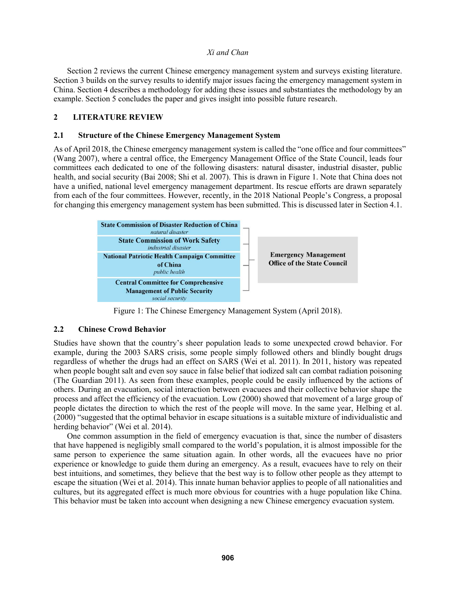Section 2 reviews the current Chinese emergency management system and surveys existing literature. Section 3 builds on the survey results to identify major issues facing the emergency management system in China. Section 4 describes a methodology for adding these issues and substantiates the methodology by an example. Section 5 concludes the paper and gives insight into possible future research.

# **2 LITERATURE REVIEW**

### **2.1 Structure of the Chinese Emergency Management System**

As of April 2018, the Chinese emergency management system is called the "one office and four committees" (Wang 2007), where a central office, the Emergency Management Office of the State Council, leads four committees each dedicated to one of the following disasters: natural disaster, industrial disaster, public health, and social security (Bai 2008; Shi et al. 2007). This is drawn in Figure 1. Note that China does not have a unified, national level emergency management department. Its rescue efforts are drawn separately from each of the four committees. However, recently, in the 2018 National People's Congress, a proposal for changing this emergency management system has been submitted. This is discussed later in Section 4.1.



Figure 1: The Chinese Emergency Management System (April 2018).

### **2.2 Chinese Crowd Behavior**

Studies have shown that the country's sheer population leads to some unexpected crowd behavior. For example, during the 2003 SARS crisis, some people simply followed others and blindly bought drugs regardless of whether the drugs had an effect on SARS (Wei et al. 2011). In 2011, history was repeated when people bought salt and even soy sauce in false belief that iodized salt can combat radiation poisoning (The Guardian 2011). As seen from these examples, people could be easily influenced by the actions of others. During an evacuation, social interaction between evacuees and their collective behavior shape the process and affect the efficiency of the evacuation. Low (2000) showed that movement of a large group of people dictates the direction to which the rest of the people will move. In the same year, Helbing et al. (2000) "suggested that the optimal behavior in escape situations is a suitable mixture of individualistic and herding behavior" (Wei et al. 2014).

One common assumption in the field of emergency evacuation is that, since the number of disasters that have happened is negligibly small compared to the world's population, it is almost impossible for the same person to experience the same situation again. In other words, all the evacuees have no prior experience or knowledge to guide them during an emergency. As a result, evacuees have to rely on their best intuitions, and sometimes, they believe that the best way is to follow other people as they attempt to escape the situation (Wei et al. 2014). This innate human behavior applies to people of all nationalities and cultures, but its aggregated effect is much more obvious for countries with a huge population like China. This behavior must be taken into account when designing a new Chinese emergency evacuation system.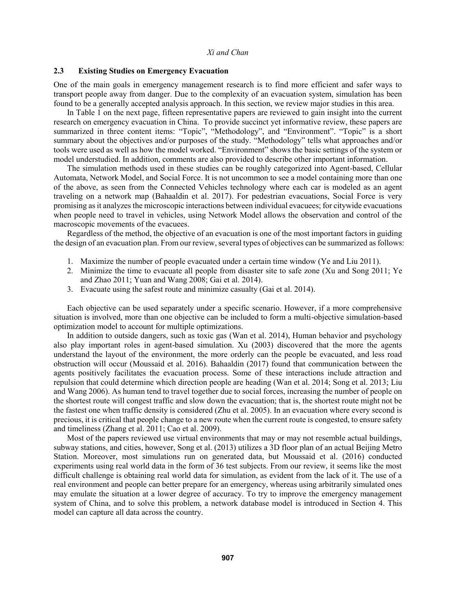### **2.3 Existing Studies on Emergency Evacuation**

One of the main goals in emergency management research is to find more efficient and safer ways to transport people away from danger. Due to the complexity of an evacuation system, simulation has been found to be a generally accepted analysis approach. In this section, we review major studies in this area.

In Table 1 on the next page, fifteen representative papers are reviewed to gain insight into the current research on emergency evacuation in China. To provide succinct yet informative review, these papers are summarized in three content items: "Topic", "Methodology", and "Environment". "Topic" is a short summary about the objectives and/or purposes of the study. "Methodology" tells what approaches and/or tools were used as well as how the model worked. "Environment" shows the basic settings of the system or model understudied. In addition, comments are also provided to describe other important information.

The simulation methods used in these studies can be roughly categorized into Agent-based, Cellular Automata, Network Model, and Social Force. It is not uncommon to see a model containing more than one of the above, as seen from the Connected Vehicles technology where each car is modeled as an agent traveling on a network map (Bahaaldin et al. 2017). For pedestrian evacuations, Social Force is very promising as it analyzes the microscopic interactions between individual evacuees; for citywide evacuations when people need to travel in vehicles, using Network Model allows the observation and control of the macroscopic movements of the evacuees.

Regardless of the method, the objective of an evacuation is one of the most important factors in guiding the design of an evacuation plan. From our review, several types of objectives can be summarized as follows:

- 1. Maximize the number of people evacuated under a certain time window (Ye and Liu 2011).
- 2. Minimize the time to evacuate all people from disaster site to safe zone (Xu and Song 2011; Ye and Zhao 2011; Yuan and Wang 2008; Gai et al. 2014).
- 3. Evacuate using the safest route and minimize casualty (Gai et al. 2014).

Each objective can be used separately under a specific scenario. However, if a more comprehensive situation is involved, more than one objective can be included to form a multi-objective simulation-based optimization model to account for multiple optimizations.

In addition to outside dangers, such as toxic gas (Wan et al. 2014), Human behavior and psychology also play important roles in agent-based simulation. Xu (2003) discovered that the more the agents understand the layout of the environment, the more orderly can the people be evacuated, and less road obstruction will occur (Moussaid et al. 2016). Bahaaldin (2017) found that communication between the agents positively facilitates the evacuation process. Some of these interactions include attraction and repulsion that could determine which direction people are heading (Wan et al. 2014; Song et al. 2013; Liu and Wang 2006). As human tend to travel together due to social forces, increasing the number of people on the shortest route will congest traffic and slow down the evacuation; that is, the shortest route might not be the fastest one when traffic density is considered (Zhu et al. 2005). In an evacuation where every second is precious, it is critical that people change to a new route when the current route is congested, to ensure safety and timeliness (Zhang et al. 2011; Cao et al. 2009).

Most of the papers reviewed use virtual environments that may or may not resemble actual buildings, subway stations, and cities, however, Song et al. (2013) utilizes a 3D floor plan of an actual Beijing Metro Station. Moreover, most simulations run on generated data, but Moussaid et al. (2016) conducted experiments using real world data in the form of 36 test subjects. From our review, it seems like the most difficult challenge is obtaining real world data for simulation, as evident from the lack of it. The use of a real environment and people can better prepare for an emergency, whereas using arbitrarily simulated ones may emulate the situation at a lower degree of accuracy. To try to improve the emergency management system of China, and to solve this problem, a network database model is introduced in Section 4. This model can capture all data across the country.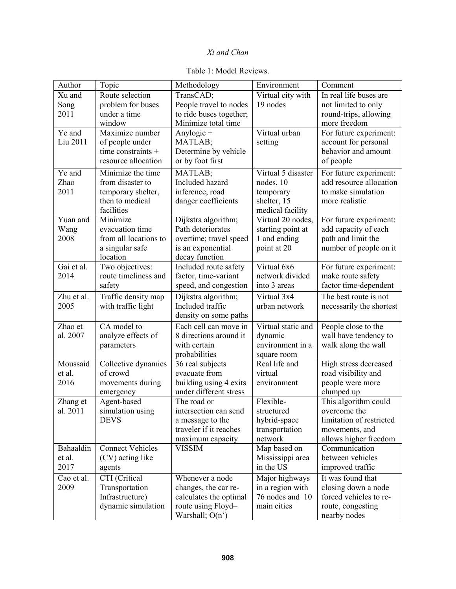| Author       | Topic                                     | Methodology                              | Environment                      | Comment                                       |
|--------------|-------------------------------------------|------------------------------------------|----------------------------------|-----------------------------------------------|
| Xu and       | Route selection                           | TransCAD;                                | Virtual city with                | In real life buses are                        |
| Song         | problem for buses                         | People travel to nodes                   | 19 nodes                         | not limited to only                           |
| 2011         | under a time                              | to ride buses together;                  |                                  | round-trips, allowing                         |
|              | window                                    | Minimize total time                      |                                  | more freedom                                  |
| Ye and       | Maximize number                           | Anylogic +                               | Virtual urban                    | For future experiment:                        |
| Liu 2011     | of people under                           | MATLAB;                                  | setting                          | account for personal                          |
|              | time constraints +<br>resource allocation | Determine by vehicle<br>or by foot first |                                  | behavior and amount                           |
|              |                                           |                                          |                                  | of people                                     |
| Ye and       | Minimize the time                         | MATLAB;                                  | Virtual 5 disaster               | For future experiment:                        |
| Zhao<br>2011 | from disaster to                          | Included hazard                          | nodes, 10                        | add resource allocation<br>to make simulation |
|              | temporary shelter,<br>then to medical     | inference, road<br>danger coefficients   | temporary<br>shelter, 15         | more realistic                                |
|              | facilities                                |                                          | medical facility                 |                                               |
| Yuan and     | Minimize                                  | Dijkstra algorithm;                      | Virtual 20 nodes,                | For future experiment:                        |
| Wang         | evacuation time                           | Path deteriorates                        | starting point at                | add capacity of each                          |
| 2008         | from all locations to                     | overtime; travel speed                   | 1 and ending                     | path and limit the                            |
|              | a singular safe                           | is an exponential                        | point at 20                      | number of people on it                        |
|              | location                                  | decay function                           |                                  |                                               |
| Gai et al.   | Two objectives:                           | Included route safety                    | Virtual 6x6                      | For future experiment:                        |
| 2014         | route timeliness and                      | factor, time-variant                     | network divided                  | make route safety                             |
|              | safety                                    | speed, and congestion                    | into 3 areas                     | factor time-dependent                         |
| Zhu et al.   | Traffic density map                       | Dijkstra algorithm;                      | Virtual 3x4                      | The best route is not                         |
| 2005         | with traffic light                        | Included traffic                         | urban network                    | necessarily the shortest                      |
|              |                                           | density on some paths                    |                                  |                                               |
| Zhao et      | CA model to                               | Each cell can move in                    | Virtual static and               | People close to the                           |
| al. 2007     | analyze effects of<br>parameters          | 8 directions around it<br>with certain   | dynamic<br>environment in a      | wall have tendency to<br>walk along the wall  |
|              |                                           | probabilities                            | square room                      |                                               |
| Moussaid     | Collective dynamics                       | $\overline{36}$ real subjects            | Real life and                    | High stress decreased                         |
| et al.       | of crowd                                  | evacuate from                            | virtual                          | road visibility and                           |
| 2016         | movements during                          | building using 4 exits                   | environment                      | people were more                              |
|              | emergency                                 | under different stress                   |                                  | clumped up                                    |
| Zhang et     | Agent-based                               | The road or                              | Flexible-                        | This algorithm could                          |
| al. 2011     | simulation using                          | intersection can send                    | structured                       | overcome the                                  |
|              | <b>DEVS</b>                               | a message to the                         | hybrid-space                     | limitation of restricted                      |
|              |                                           | traveler if it reaches                   | transportation                   | movements, and                                |
| Bahaaldin    | <b>Connect Vehicles</b>                   | maximum capacity<br><b>VISSIM</b>        | network                          | allows higher freedom<br>Communication        |
| et al.       | (CV) acting like                          |                                          | Map based on<br>Mississippi area | between vehicles                              |
| 2017         | agents                                    |                                          | in the US                        | improved traffic                              |
| Cao et al.   | CTI (Critical                             | Whenever a node                          | Major highways                   | It was found that                             |
| 2009         | Transportation                            | changes, the car re-                     | in a region with                 | closing down a node                           |
|              | Infrastructure)                           | calculates the optimal                   | 76 nodes and 10                  | forced vehicles to re-                        |
|              | dynamic simulation                        | route using Floyd-                       | main cities                      | route, congesting                             |
|              |                                           | Warshall; $O(n^3)$                       |                                  | nearby nodes                                  |

# Table 1: Model Reviews.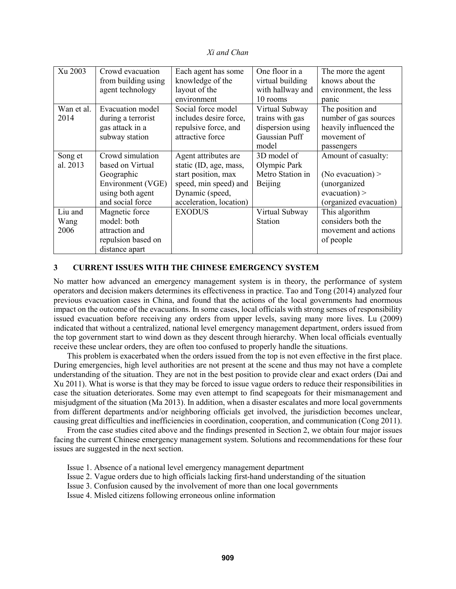|  |  | Xi and Chan |
|--|--|-------------|
|--|--|-------------|

| Xu 2003    | Crowd evacuation    | Each agent has some     | One floor in a   | The more the agent     |
|------------|---------------------|-------------------------|------------------|------------------------|
|            | from building using | knowledge of the        | virtual building | knows about the        |
|            | agent technology    | layout of the           | with hallway and | environment, the less  |
|            |                     | environment             | 10 rooms         | panic                  |
| Wan et al. | Evacuation model    | Social force model      | Virtual Subway   | The position and       |
| 2014       | during a terrorist  | includes desire force.  | trains with gas  | number of gas sources  |
|            | gas attack in a     | repulsive force, and    | dispersion using | heavily influenced the |
|            | subway station      | attractive force        | Gaussian Puff    | movement of            |
|            |                     |                         | model            | passengers             |
| Song et    | Crowd simulation    | Agent attributes are    | 3D model of      | Amount of casualty:    |
| al. 2013   | based on Virtual    | static (ID, age, mass,  | Olympic Park     |                        |
|            | Geographic          | start position, max     | Metro Station in | (No evacuation) $>$    |
|            | Environment (VGE)   | speed, min speed) and   | Beijing          | (unorganized           |
|            | using both agent    | Dynamic (speed,         |                  | evacuation) $>$        |
|            | and social force    | acceleration, location) |                  | (organized evacuation) |
| Liu and    | Magnetic force      | <b>EXODUS</b>           | Virtual Subway   | This algorithm         |
| Wang       | model: both         |                         | Station          | considers both the     |
| 2006       | attraction and      |                         |                  | movement and actions   |
|            | repulsion based on  |                         |                  | of people              |
|            | distance apart      |                         |                  |                        |

# **3 CURRENT ISSUES WITH THE CHINESE EMERGENCY SYSTEM**

No matter how advanced an emergency management system is in theory, the performance of system operators and decision makers determines its effectiveness in practice. Tao and Tong (2014) analyzed four previous evacuation cases in China, and found that the actions of the local governments had enormous impact on the outcome of the evacuations. In some cases, local officials with strong senses of responsibility issued evacuation before receiving any orders from upper levels, saving many more lives. Lu (2009) indicated that without a centralized, national level emergency management department, orders issued from the top government start to wind down as they descent through hierarchy. When local officials eventually receive these unclear orders, they are often too confused to properly handle the situations.

This problem is exacerbated when the orders issued from the top is not even effective in the first place. During emergencies, high level authorities are not present at the scene and thus may not have a complete understanding of the situation. They are not in the best position to provide clear and exact orders (Dai and Xu 2011). What is worse is that they may be forced to issue vague orders to reduce their responsibilities in case the situation deteriorates. Some may even attempt to find scapegoats for their mismanagement and misjudgment of the situation (Ma 2013). In addition, when a disaster escalates and more local governments from different departments and/or neighboring officials get involved, the jurisdiction becomes unclear, causing great difficulties and inefficiencies in coordination, cooperation, and communication (Cong 2011).

From the case studies cited above and the findings presented in Section 2, we obtain four major issues facing the current Chinese emergency management system. Solutions and recommendations for these four issues are suggested in the next section.

- Issue 1. Absence of a national level emergency management department
- Issue 2. Vague orders due to high officials lacking first-hand understanding of the situation
- Issue 3. Confusion caused by the involvement of more than one local governments
- Issue 4. Misled citizens following erroneous online information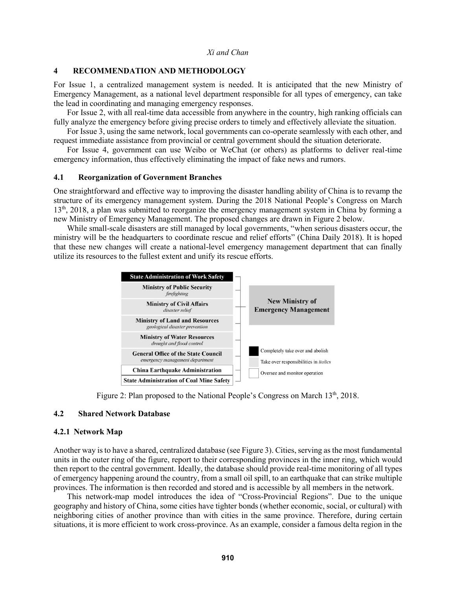### **4 RECOMMENDATION AND METHODOLOGY**

For Issue 1, a centralized management system is needed. It is anticipated that the new Ministry of Emergency Management, as a national level department responsible for all types of emergency, can take the lead in coordinating and managing emergency responses.

For Issue 2, with all real-time data accessible from anywhere in the country, high ranking officials can fully analyze the emergency before giving precise orders to timely and effectively alleviate the situation.

For Issue 3, using the same network, local governments can co-operate seamlessly with each other, and request immediate assistance from provincial or central government should the situation deteriorate.

For Issue 4, government can use Weibo or WeChat (or others) as platforms to deliver real-time emergency information, thus effectively eliminating the impact of fake news and rumors.

### **4.1 Reorganization of Government Branches**

One straightforward and effective way to improving the disaster handling ability of China is to revamp the structure of its emergency management system. During the 2018 National People's Congress on March 13<sup>th</sup>, 2018, a plan was submitted to reorganize the emergency management system in China by forming a new Ministry of Emergency Management. The proposed changes are drawn in Figure 2 below.

While small-scale disasters are still managed by local governments, "when serious disasters occur, the ministry will be the headquarters to coordinate rescue and relief efforts" (China Daily 2018). It is hoped that these new changes will create a national-level emergency management department that can finally utilize its resources to the fullest extent and unify its rescue efforts.



Figure 2: Plan proposed to the National People's Congress on March 13<sup>th</sup>, 2018.

# **4.2 Shared Network Database**

#### **4.2.1 Network Map**

Another way is to have a shared, centralized database (see Figure 3). Cities, serving as the most fundamental units in the outer ring of the figure, report to their corresponding provinces in the inner ring, which would then report to the central government. Ideally, the database should provide real-time monitoring of all types of emergency happening around the country, from a small oil spill, to an earthquake that can strike multiple provinces. The information is then recorded and stored and is accessible by all members in the network.

This network-map model introduces the idea of "Cross-Provincial Regions". Due to the unique geography and history of China, some cities have tighter bonds (whether economic, social, or cultural) with neighboring cities of another province than with cities in the same province. Therefore, during certain situations, it is more efficient to work cross-province. As an example, consider a famous delta region in the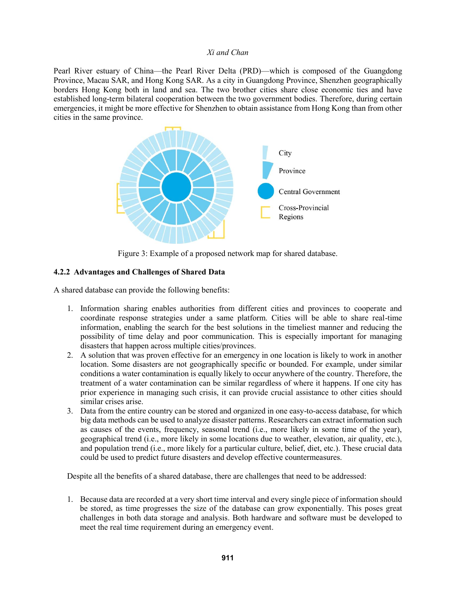Pearl River estuary of China—the Pearl River Delta (PRD)—which is composed of the Guangdong Province, Macau SAR, and Hong Kong SAR. As a city in Guangdong Province, Shenzhen geographically borders Hong Kong both in land and sea. The two brother cities share close economic ties and have established long-term bilateral cooperation between the two government bodies. Therefore, during certain emergencies, it might be more effective for Shenzhen to obtain assistance from Hong Kong than from other cities in the same province.



Figure 3: Example of a proposed network map for shared database.

# **4.2.2 Advantages and Challenges of Shared Data**

A shared database can provide the following benefits:

- 1. Information sharing enables authorities from different cities and provinces to cooperate and coordinate response strategies under a same platform. Cities will be able to share real-time information, enabling the search for the best solutions in the timeliest manner and reducing the possibility of time delay and poor communication. This is especially important for managing disasters that happen across multiple cities/provinces.
- 2. A solution that was proven effective for an emergency in one location is likely to work in another location. Some disasters are not geographically specific or bounded. For example, under similar conditions a water contamination is equally likely to occur anywhere of the country. Therefore, the treatment of a water contamination can be similar regardless of where it happens. If one city has prior experience in managing such crisis, it can provide crucial assistance to other cities should similar crises arise.
- 3. Data from the entire country can be stored and organized in one easy-to-access database, for which big data methods can be used to analyze disaster patterns. Researchers can extract information such as causes of the events, frequency, seasonal trend (i.e., more likely in some time of the year), geographical trend (i.e., more likely in some locations due to weather, elevation, air quality, etc.), and population trend (i.e., more likely for a particular culture, belief, diet, etc.). These crucial data could be used to predict future disasters and develop effective countermeasures.

Despite all the benefits of a shared database, there are challenges that need to be addressed:

1. Because data are recorded at a very short time interval and every single piece of information should be stored, as time progresses the size of the database can grow exponentially. This poses great challenges in both data storage and analysis. Both hardware and software must be developed to meet the real time requirement during an emergency event.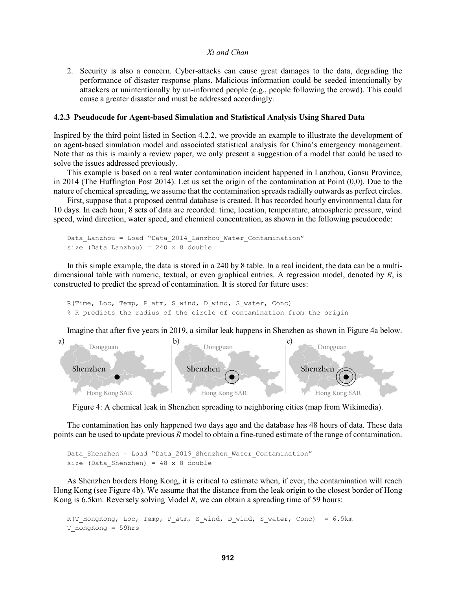2. Security is also a concern. Cyber-attacks can cause great damages to the data, degrading the performance of disaster response plans. Malicious information could be seeded intentionally by attackers or unintentionally by un-informed people (e.g., people following the crowd). This could cause a greater disaster and must be addressed accordingly.

#### **4.2.3 Pseudocode for Agent-based Simulation and Statistical Analysis Using Shared Data**

Inspired by the third point listed in Section 4.2.2, we provide an example to illustrate the development of an agent-based simulation model and associated statistical analysis for China's emergency management. Note that as this is mainly a review paper, we only present a suggestion of a model that could be used to solve the issues addressed previously.

This example is based on a real water contamination incident happened in Lanzhou, Gansu Province, in 2014 (The Huffington Post 2014). Let us set the origin of the contamination at Point (0,0). Due to the nature of chemical spreading, we assume that the contamination spreads radially outwards as perfect circles.

First, suppose that a proposed central database is created. It has recorded hourly environmental data for 10 days. In each hour, 8 sets of data are recorded: time, location, temperature, atmospheric pressure, wind speed, wind direction, water speed, and chemical concentration, as shown in the following pseudocode:

Data Lanzhou = Load "Data 2014 Lanzhou Water Contamination" size (Data Lanzhou) =  $240 \times 8$  double

In this simple example, the data is stored in a 240 by 8 table. In a real incident, the data can be a multidimensional table with numeric, textual, or even graphical entries. A regression model, denoted by *R*, is constructed to predict the spread of contamination. It is stored for future uses:

```
R(Time, Loc, Temp, P atm, S wind, D wind, S water, Conc)
% R predicts the radius of the circle of contamination from the origin
```
Imagine that after five years in 2019, a similar leak happens in Shenzhen as shown in Figure 4a below.



Figure 4: A chemical leak in Shenzhen spreading to neighboring cities (map from Wikimedia).

The contamination has only happened two days ago and the database has 48 hours of data. These data points can be used to update previous *R* model to obtain a fine-tuned estimate of the range of contamination.

Data\_Shenzhen = Load "Data\_2019\_Shenzhen\_Water\_Contamination" size (Data Shenzhen) = 48 x 8 double

As Shenzhen borders Hong Kong, it is critical to estimate when, if ever, the contamination will reach Hong Kong (see Figure 4b). We assume that the distance from the leak origin to the closest border of Hong Kong is 6.5km. Reversely solving Model *R*, we can obtain a spreading time of 59 hours:

R(T\_HongKong, Loc, Temp, P\_atm, S\_wind, D\_wind, S\_water, Conc) = 6.5km T\_HongKong = 59hrs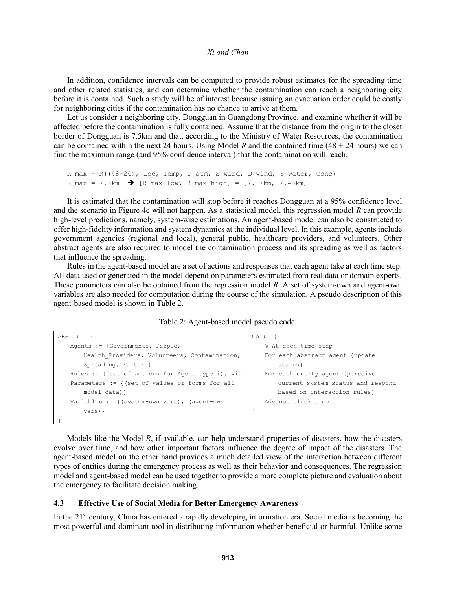In addition, confidence intervals can be computed to provide robust estimates for the spreading time and other related statistics, and can determine whether the contamination can reach a neighboring city before it is contained. Such a study will be of interest because issuing an evacuation order could be costly for neighboring cities if the contamination has no chance to arrive at them.

Let us consider a neighboring city, Dongguan in Guangdong Province, and examine whether it will be affected before the contamination is fully contained. Assume that the distance from the origin to the closet border of Dongguan is 7.5km and that, according to the Ministry of Water Resources, the contamination can be contained within the next 24 hours. Using Model *R* and the contained time (48 + 24 hours) we can find the maximum range (and 95% confidence interval) that the contamination will reach.

```
R max = R((48+24), Loc, Temp, P atm, S wind, D wind, S water, Conc)
R_max = 7.3km \rightarrow [R_max_low, R_max_high] = [7.17km, 7.43km]
```
It is estimated that the contamination will stop before it reaches Dongguan at a 95% confidence level and the scenario in Figure 4c will not happen. As a statistical model, this regression model *R* can provide high-level predictions, namely, system-wise estimations. An agent-based model can also be constructed to offer high-fidelity information and system dynamics at the individual level. In this example, agents include government agencies (regional and local), general public, healthcare providers, and volunteers. Other abstract agents are also required to model the contamination process and its spreading as well as factors that influence the spreading.

Rules in the agent-based model are a set of actions and responses that each agent take at each time step. All data used or generated in the model depend on parameters estimated from real data or domain experts. These parameters can also be obtained from the regression model *R*. A set of system-own and agent-own variables are also needed for computation during the course of the simulation. A pseudo description of this agent-based model is shown in Table 2.

Table 2: Agent-based model pseudo code.

```
ABS := \{Agents := {Governments, People, 
       Health Providers, Volunteers, Contamination,
       Spreading, Factors} 
   Rules := {(set of actions for Agent type i), \forall i}
   Parameters := {(set of values or forms for all 
       model data)}
   Variables := {(system-own vars), (agent-own 
       vars)}
}
                                                         Go := {
                                                             % At each time step
                                                             For each abstract agent {update 
                                                                status}
                                                            For each entity agent {perceive 
                                                                current system status and respond 
                                                                based on interaction rules} 
                                                            Advance clock time
                                                         }
```
Models like the Model *R*, if available, can help understand properties of disasters, how the disasters evolve over time, and how other important factors influence the degree of impact of the disasters. The agent-based model on the other hand provides a much detailed view of the interaction between different types of entities during the emergency process as well as their behavior and consequences. The regression model and agent-based model can be used together to provide a more complete picture and evaluation about the emergency to facilitate decision making.

### **4.3 Effective Use of Social Media for Better Emergency Awareness**

In the  $21<sup>st</sup>$  century, China has entered a rapidly developing information era. Social media is becoming the most powerful and dominant tool in distributing information whether beneficial or harmful. Unlike some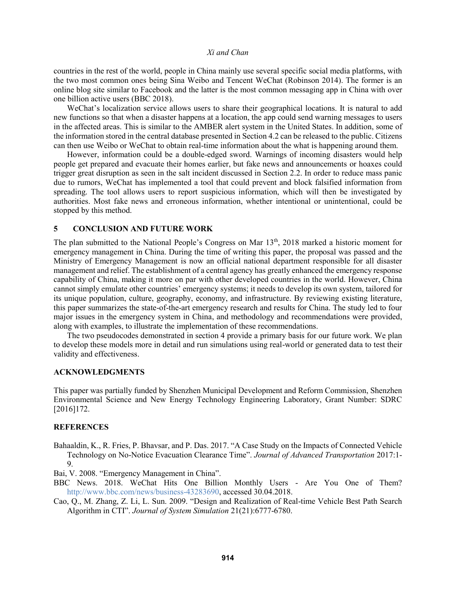countries in the rest of the world, people in China mainly use several specific social media platforms, with the two most common ones being Sina Weibo and Tencent WeChat (Robinson 2014). The former is an online blog site similar to Facebook and the latter is the most common messaging app in China with over one billion active users (BBC 2018).

WeChat's localization service allows users to share their geographical locations. It is natural to add new functions so that when a disaster happens at a location, the app could send warning messages to users in the affected areas. This is similar to the AMBER alert system in the United States. In addition, some of the information stored in the central database presented in Section 4.2 can be released to the public. Citizens can then use Weibo or WeChat to obtain real-time information about the what is happening around them.

However, information could be a double-edged sword. Warnings of incoming disasters would help people get prepared and evacuate their homes earlier, but fake news and announcements or hoaxes could trigger great disruption as seen in the salt incident discussed in Section 2.2. In order to reduce mass panic due to rumors, WeChat has implemented a tool that could prevent and block falsified information from spreading. The tool allows users to report suspicious information, which will then be investigated by authorities. Most fake news and erroneous information, whether intentional or unintentional, could be stopped by this method.

### **5 CONCLUSION AND FUTURE WORK**

The plan submitted to the National People's Congress on Mar 13<sup>th</sup>, 2018 marked a historic moment for emergency management in China. During the time of writing this paper, the proposal was passed and the Ministry of Emergency Management is now an official national department responsible for all disaster management and relief. The establishment of a central agency has greatly enhanced the emergency response capability of China, making it more on par with other developed countries in the world. However, China cannot simply emulate other countries' emergency systems; it needs to develop its own system, tailored for its unique population, culture, geography, economy, and infrastructure. By reviewing existing literature, this paper summarizes the state-of-the-art emergency research and results for China. The study led to four major issues in the emergency system in China, and methodology and recommendations were provided, along with examples, to illustrate the implementation of these recommendations.

The two pseudocodes demonstrated in section 4 provide a primary basis for our future work. We plan to develop these models more in detail and run simulations using real-world or generated data to test their validity and effectiveness.

### **ACKNOWLEDGMENTS**

This paper was partially funded by Shenzhen Municipal Development and Reform Commission, Shenzhen Environmental Science and New Energy Technology Engineering Laboratory, Grant Number: SDRC [2016]172.

#### **REFERENCES**

Bahaaldin, K., R. Fries, P. Bhavsar, and P. Das. 2017. "A Case Study on the Impacts of Connected Vehicle Technology on No-Notice Evacuation Clearance Time". *Journal of Advanced Transportation* 2017:1- 9.

Bai, V. 2008. "Emergency Management in China".

- BBC News. 2018. WeChat Hits One Billion Monthly Users Are You One of Them? http://www.bbc.com/news/business-43283690, accessed 30.04.2018.
- Cao, Q., M. Zhang, Z. Li, L. Sun. 2009. "Design and Realization of Real-time Vehicle Best Path Search Algorithm in CTI". *Journal of System Simulation* 21(21):6777-6780.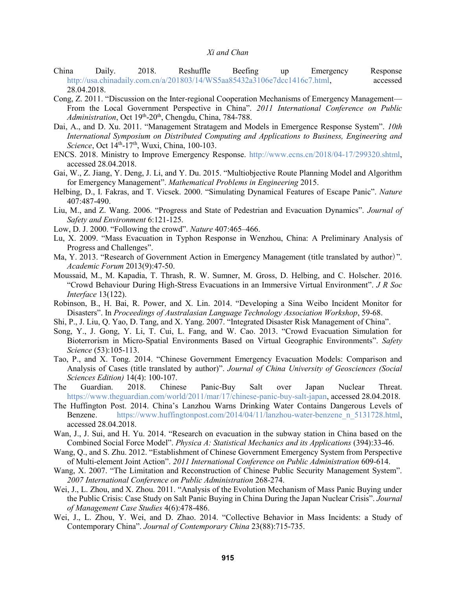- China Daily. 2018. Reshuffle Beefing up Emergency Response http://usa.chinadaily.com.cn/a/201803/14/WS5aa85432a3106e7dcc1416c7.html, accessed 28.04.2018.
- Cong, Z. 2011. "Discussion on the Inter-regional Cooperation Mechanisms of Emergency Management— From the Local Government Perspective in China". *2011 International Conference on Public*  Administration, Oct 19<sup>th</sup>-20<sup>th</sup>, Chengdu, China, 784-788.
- Dai, A., and D. Xu. 2011. "Management Stratagem and Models in Emergence Response System". *10th International Symposium on Distributed Computing and Applications to Business, Engineering and Science*, Oct 14<sup>th</sup>-17<sup>th</sup>, Wuxi, China, 100-103.
- ENCS. 2018. Ministry to Improve Emergency Response. http://www.ecns.cn/2018/04-17/299320.shtml, accessed 28.04.2018.
- Gai, W., Z. Jiang, Y. Deng, J. Li, and Y. Du. 2015. "Multiobjective Route Planning Model and Algorithm for Emergency Management". *Mathematical Problems in Engineering* 2015.
- Helbing, D., I. Fakras, and T. Vicsek. 2000. "Simulating Dynamical Features of Escape Panic". *Nature* 407:487-490.
- Liu, M., and Z. Wang. 2006. "Progress and State of Pedestrian and Evacuation Dynamics". *Journal of Safety and Environment* 6:121-125.
- Low, D. J. 2000. "Following the crowd". *Nature* 407:465–466.
- Lu, X. 2009. "Mass Evacuation in Typhon Response in Wenzhou, China: A Preliminary Analysis of Progress and Challenges".
- Ma, Y. 2013. "Research of Government Action in Emergency Management (title translated by author)". *Academic Forum* 2013(9):47-50.
- Moussaid, M., M. Kapadia, T. Thrash, R. W. Sumner, M. Gross, D. Helbing, and C. Holscher. 2016. "Crowd Behaviour During High-Stress Evacuations in an Immersive Virtual Environment". *J R Soc Interface* 13(122).
- Robinson, B., H. Bai, R. Power, and X. Lin. 2014. "Developing a Sina Weibo Incident Monitor for Disasters". In *Proceedings of Australasian Language Technology Association Workshop*, 59-68.
- Shi, P., J. Liu, Q. Yao, D. Tang, and X. Yang. 2007. "Integrated Disaster Risk Management of China".
- Song, Y., J. Gong, Y. Li, T. Cui, L. Fang, and W. Cao. 2013. "Crowd Evacuation Simulation for Bioterrorism in Micro-Spatial Environments Based on Virtual Geographic Environments". *Safety Science* (53):105-113.
- Tao, P., and X. Tong. 2014. "Chinese Government Emergency Evacuation Models: Comparison and Analysis of Cases (title translated by author)". *Journal of China University of Geosciences (Social Sciences Edition)* 14(4): 100-107.
- The Guardian. 2018. Chinese Panic-Buy Salt over Japan Nuclear Threat. https://www.theguardian.com/world/2011/mar/17/chinese-panic-buy-salt-japan, accessed 28.04.2018.
- The Huffington Post. 2014. China's Lanzhou Warns Drinking Water Contains Dangerous Levels of Benzene. https://www.huffingtonpost.com/2014/04/11/lanzhou-water-benzene\_n\_5131728.html, accessed 28.04.2018.
- Wan, J., J. Sui, and H. Yu. 2014. "Research on evacuation in the subway station in China based on the Combined Social Force Model". *Physica A: Statistical Mechanics and its Applications* (394):33-46.
- Wang, Q., and S. Zhu. 2012. "Establishment of Chinese Government Emergency System from Perspective of Multi-element Joint Action". *2011 International Conference on Public Administration* 609-614.
- Wang, X. 2007. "The Limitation and Reconstruction of Chinese Public Security Management System". *2007 International Conference on Public Administration* 268-274.
- Wei, J., L. Zhou, and X. Zhou. 2011. "Analysis of the Evolution Mechanism of Mass Panic Buying under the Public Crisis: Case Study on Salt Panic Buying in China During the Japan Nuclear Crisis". *Journal of Management Case Studies* 4(6):478-486.
- Wei, J., L. Zhou, Y. Wei, and D. Zhao. 2014. "Collective Behavior in Mass Incidents: a Study of Contemporary China". *Journal of Contemporary China* 23(88):715-735.